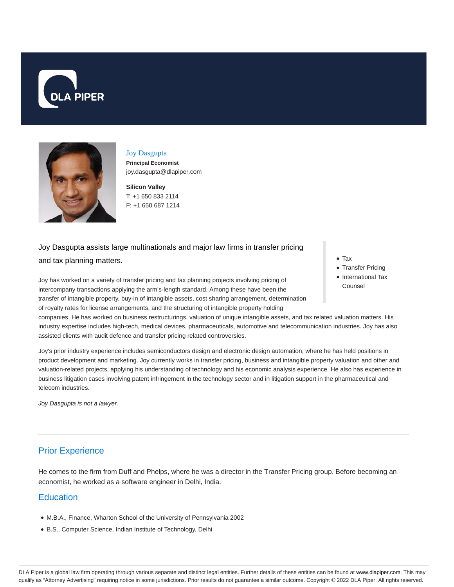



Joy Dasgupta **Principal Economist**

**Silicon Valley** T: +1 650 833 2114

joy.dasgupta@dlapiper.com

F: +1 650 687 1214

Joy Dasgupta assists large multinationals and major law firms in transfer pricing and tax planning matters.

Joy has worked on a variety of transfer pricing and tax planning projects involving pricing of intercompany transactions applying the arm's-length standard. Among these have been the transfer of intangible property, buy-in of intangible assets, cost sharing arrangement, determination of royalty rates for license arrangements, and the structuring of intangible property holding

• Tax

- Transfer Pricing
- International Tax Counsel

companies. He has worked on business restructurings, valuation of unique intangible assets, and tax related valuation matters. His industry expertise includes high-tech, medical devices, pharmaceuticals, automotive and telecommunication industries. Joy has also assisted clients with audit defence and transfer pricing related controversies.

Joy's prior industry experience includes semiconductors design and electronic design automation, where he has held positions in product development and marketing. Joy currently works in transfer pricing, business and intangible property valuation and other and valuation-related projects, applying his understanding of technology and his economic analysis experience. He also has experience in business litigation cases involving patent infringement in the technology sector and in litigation support in the pharmaceutical and telecom industries.

Joy Dasgupta is not a lawyer.

# Prior Experience

He comes to the firm from Duff and Phelps, where he was a director in the Transfer Pricing group. Before becoming an economist, he worked as a software engineer in Delhi, India.

### **Education**

- M.B.A., Finance, Wharton School of the University of Pennsylvania 2002
- B.S., Computer Science, Indian Institute of Technology, Delhi

DLA Piper is a global law firm operating through various separate and distinct legal entities. Further details of these entities can be found at www.dlapiper.com. This may qualify as "Attorney Advertising" requiring notice in some jurisdictions. Prior results do not guarantee a similar outcome. Copyright @ 2022 DLA Piper. All rights reserved.